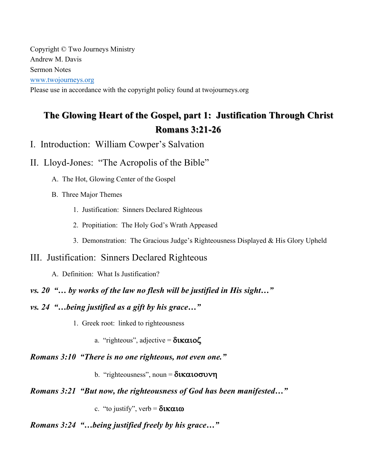Copyright © Two Journeys Ministry Andrew M. Davis Sermon Notes www.twojourneys.org

Please use in accordance with the copyright policy found at twojourneys.org

# **The Glowing Heart of the Gospel, part 1: Justification Through Christ The Glowing Heart of the Gospel, part 1: Justification Through Christ Romans 3:21 Romans 3:21-26**

- I. Introduction: William Cowper's Salvation
- II. Lloyd-Jones: "The Acropolis of the Bible"
	- A. The Hot, Glowing Center of the Gospel
	- B. Three Major Themes
		- 1. Justification: Sinners Declared Righteous
		- 2. Propitiation: The Holy God's Wrath Appeased
		- 3. Demonstration: The Gracious Judge's Righteousness Displayed & His Glory Upheld

### III. Justification: Sinners Declared Righteous

- A. Definition: What Is Justification?
- *vs. 20 "… by works of the law no flesh will be justified in His sight…"*
- *vs. 24 "…being justified as a gift by his grace…"*
	- 1. Greek root: linked to righteousness
		- a. "righteous", adjective =  $\delta \mathbf{R}$  $\alpha \mathbf{1}$ o $\zeta$
- *Romans 3:10 "There is no one righteous, not even one."*
	- b. "righteousness", noun =  $\delta$ **Katoovy**
- *Romans 3:21 "But now, the righteousness of God has been manifested…"*

c. "to justify", verb =  $\delta x \alpha x \omega$ 

## *Romans 3:24 "…being justified freely by his grace…"*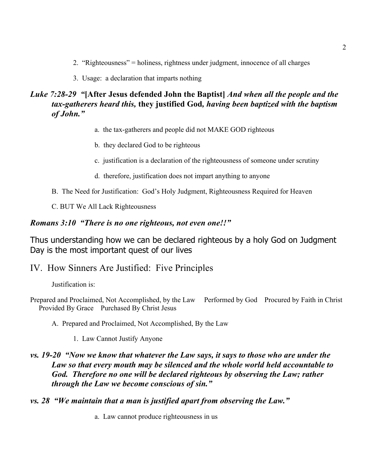- 2. "Righteousness" = holiness, rightness under judgment, innocence of all charges
- 3. Usage: a declaration that imparts nothing

### *Luke 7:28-29 "***[After Jesus defended John the Baptist]** *And when all the people and the tax-gatherers heard this,* **they justified God***, having been baptized with the baptism of John."*

- a. the tax-gatherers and people did not MAKE GOD righteous
- b. they declared God to be righteous
- c. justification is a declaration of the righteousness of someone under scrutiny
- d. therefore, justification does not impart anything to anyone
- B. The Need for Justification: God's Holy Judgment, Righteousness Required for Heaven

C. BUT We All Lack Righteousness

#### *Romans 3:10 "There is no one righteous, not even one!!"*

Thus understanding how we can be declared righteous by a holy God on Judgment Day is the most important quest of our lives

IV. How Sinners Are Justified: Five Principles

Justification is:

- Prepared and Proclaimed, Not Accomplished, by the Law Performed by God Procured by Faith in Christ Provided By Grace Purchased By Christ Jesus
	- A. Prepared and Proclaimed, Not Accomplished, By the Law
		- 1. Law Cannot Justify Anyone

#### *vs. 19-20 "Now we know that whatever the Law says, it says to those who are under the Law so that every mouth may be silenced and the whole world held accountable to God. Therefore no one will be declared righteous by observing the Law; rather through the Law we become conscious of sin."*

*vs. 28 "We maintain that a man is justified apart from observing the Law."*

a. Law cannot produce righteousness in us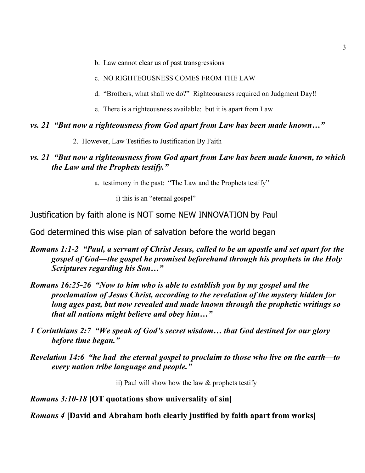- b. Law cannot clear us of past transgressions
- c. NO RIGHTEOUSNESS COMES FROM THE LAW
- d. "Brothers, what shall we do?" Righteousness required on Judgment Day!!
- e. There is a righteousness available: but it is apart from Law

#### *vs. 21 "But now a righteousness from God apart from Law has been made known…"*

2. However, Law Testifies to Justification By Faith

#### *vs. 21 "But now a righteousness from God apart from Law has been made known, to which the Law and the Prophets testify."*

a. testimony in the past: "The Law and the Prophets testify"

i) this is an "eternal gospel"

Justification by faith alone is NOT some NEW INNOVATION by Paul

God determined this wise plan of salvation before the world began

- *Romans 1:1-2 "Paul, a servant of Christ Jesus, called to be an apostle and set apart for the gospel of God—the gospel he promised beforehand through his prophets in the Holy Scriptures regarding his Son…"*
- *Romans 16:25-26 "Now to him who is able to establish you by my gospel and the proclamation of Jesus Christ, according to the revelation of the mystery hidden for long ages past, but now revealed and made known through the prophetic writings so that all nations might believe and obey him…"*
- *1 Corinthians 2:7 "We speak of God's secret wisdom… that God destined for our glory before time began."*
- *Revelation 14:6 "he had the eternal gospel to proclaim to those who live on the earth—to every nation tribe language and people."*

ii) Paul will show how the law  $&$  prophets testify

#### *Romans 3:10-18* **[OT quotations show universality of sin]**

*Romans 4* **[David and Abraham both clearly justified by faith apart from works]**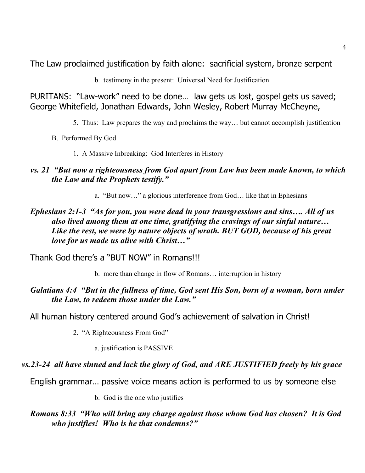The Law proclaimed justification by faith alone: sacrificial system, bronze serpent

b. testimony in the present: Universal Need for Justification

PURITANS: "Law-work" need to be done… law gets us lost, gospel gets us saved; George Whitefield, Jonathan Edwards, John Wesley, Robert Murray McCheyne,

- 5. Thus: Law prepares the way and proclaims the way… but cannot accomplish justification
- B. Performed By God
	- 1. A Massive Inbreaking: God Interferes in History

### *vs. 21 "But now a righteousness from God apart from Law has been made known, to which the Law and the Prophets testify."*

a. "But now…" a glorious interference from God… like that in Ephesians

### *Ephesians 2:1-3 "As for you, you were dead in your transgressions and sins…. All of us also lived among them at one time, gratifying the cravings of our sinful nature… Like the rest, we were by nature objects of wrath. BUT GOD, because of his great love for us made us alive with Christ…"*

Thank God there's a "BUT NOW" in Romans!!!

b. more than change in flow of Romans… interruption in history

### *Galatians 4:4 "But in the fullness of time, God sent His Son, born of a woman, born under the Law, to redeem those under the Law."*

All human history centered around God's achievement of salvation in Christ!

2. "A Righteousness From God"

a. justification is PASSIVE

### *vs.23-24 all have sinned and lack the glory of God, and ARE JUSTIFIED freely by his grace*

English grammar… passive voice means action is performed to us by someone else

b. God is the one who justifies

*Romans 8:33 "Who will bring any charge against those whom God has chosen? It is God who justifies! Who is he that condemns?"*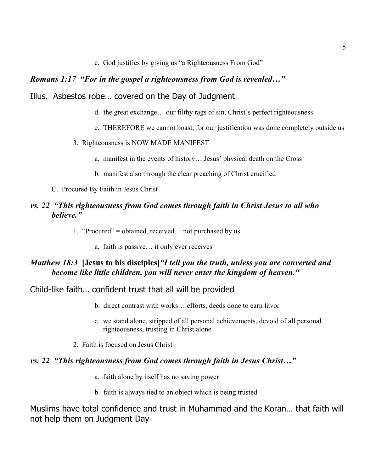c. God justifies by giving us "a Righteousness From God"

#### *Romans 1:17 "For in the gospel a righteousness from God is revealed…"*

#### Illus. Asbestos robe… covered on the Day of Judgment

- d. the great exchange… our filthy rags of sin, Christ's perfect righteousness
- e. THEREFORE we cannot boast, for our justification was done completely outside us
- 3. Righteousness is NOW MADE MANIFEST
	- a. manifest in the events of history… Jesus' physical death on the Cross
	- b. manifest also through the clear preaching of Christ crucified
- C. Procured By Faith in Jesus Christ

#### *vs. 22 "This righteousness from God comes through faith in Christ Jesus to all who believe."*

- 1. "Procured" = obtained, received… not purchased by us
	- a. faith is passive… it only ever receives

#### *Matthew 18:3* **[Jesus to his disciples]***"I tell you the truth, unless you are converted and become like little children, you will never enter the kingdom of heaven."*

#### Child-like faith… confident trust that all will be provided

- b. direct contrast with works… efforts, deeds done to earn favor
- c. we stand alone, stripped of all personal achievements, devoid of all personal righteousness, trusting in Christ alone
- 2. Faith is focused on Jesus Christ

#### *vs. 22 "This righteousness from God comes through faith in Jesus Christ…"*

- a. faith alone by itself has no saving power
- b. faith is always tied to an object which is being trusted

Muslims have total confidence and trust in Muhammad and the Koran… that faith will not help them on Judgment Day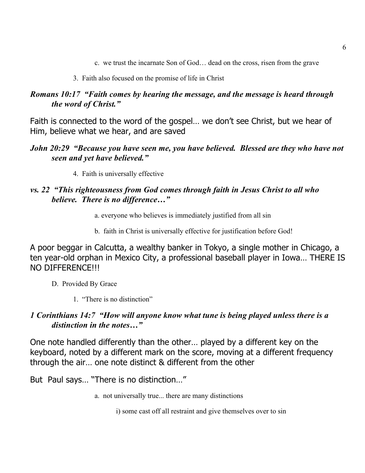c. we trust the incarnate Son of God… dead on the cross, risen from the grave

#### 3. Faith also focused on the promise of life in Christ

### *Romans 10:17 "Faith comes by hearing the message, and the message is heard through the word of Christ."*

Faith is connected to the word of the gospel… we don't see Christ, but we hear of Him, believe what we hear, and are saved

### *John 20:29 "Because you have seen me, you have believed. Blessed are they who have not seen and yet have believed."*

4. Faith is universally effective

### *vs. 22 "This righteousness from God comes through faith in Jesus Christ to all who believe. There is no difference…"*

- a. everyone who believes is immediately justified from all sin
- b. faith in Christ is universally effective for justification before God!

A poor beggar in Calcutta, a wealthy banker in Tokyo, a single mother in Chicago, a ten year-old orphan in Mexico City, a professional baseball player in Iowa… THERE IS NO DIFFERENCE!!!

- D. Provided By Grace
	- 1. "There is no distinction"

### *1 Corinthians 14:7 "How will anyone know what tune is being played unless there is a distinction in the notes…"*

One note handled differently than the other… played by a different key on the keyboard, noted by a different mark on the score, moving at a different frequency through the air… one note distinct & different from the other

But Paul says… "There is no distinction…"

- a. not universally true... there are many distinctions
	- i) some cast off all restraint and give themselves over to sin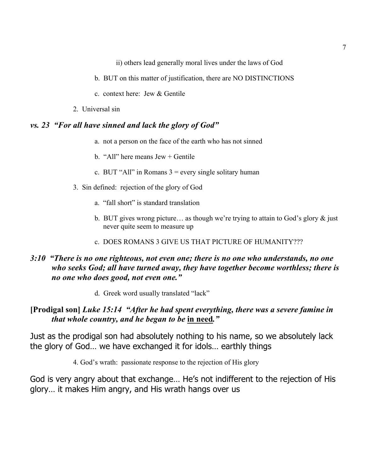ii) others lead generally moral lives under the laws of God

- b. BUT on this matter of justification, there are NO DISTINCTIONS
- c. context here: Jew & Gentile
- 2. Universal sin

#### *vs. 23 "For all have sinned and lack the glory of God"*

- a. not a person on the face of the earth who has not sinned
- b. "All" here means Jew + Gentile
- c. BUT "All" in Romans  $3$  = every single solitary human
- 3. Sin defined: rejection of the glory of God
	- a. "fall short" is standard translation
	- b. BUT gives wrong picture… as though we're trying to attain to God's glory & just never quite seem to measure up
	- c. DOES ROMANS 3 GIVE US THAT PICTURE OF HUMANITY???

### *3:10 "There is no one righteous, not even one; there is no one who understands, no one who seeks God; all have turned away, they have together become worthless; there is no one who does good, not even one."*

d. Greek word usually translated "lack"

## **[Prodigal son]** *Luke 15:14 "After he had spent everything, there was a severe famine in that whole country, and he began to be* **in need***."*

Just as the prodigal son had absolutely nothing to his name, so we absolutely lack the glory of God… we have exchanged it for idols… earthly things

4. God's wrath: passionate response to the rejection of His glory

God is very angry about that exchange… He's not indifferent to the rejection of His glory… it makes Him angry, and His wrath hangs over us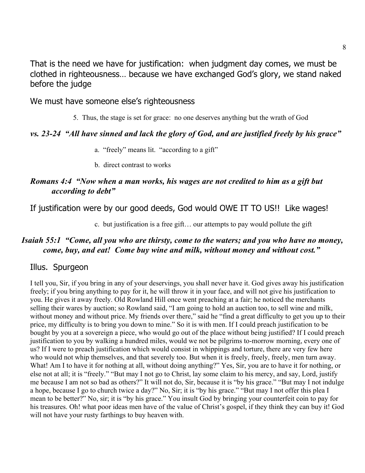That is the need we have for justification: when judgment day comes, we must be clothed in righteousness… because we have exchanged God's glory, we stand naked before the judge

We must have someone else's righteousness

5. Thus, the stage is set for grace: no one deserves anything but the wrath of God

### *vs. 23-24 "All have sinned and lack the glory of God, and are justified freely by his grace"*

- a. "freely" means lit. "according to a gift"
- b. direct contrast to works

#### *Romans 4:4 "Now when a man works, his wages are not credited to him as a gift but according to debt"*

If justification were by our good deeds, God would OWE IT TO US!! Like wages!

c. but justification is a free gift… our attempts to pay would pollute the gift

#### *Isaiah 55:1 "Come, all you who are thirsty, come to the waters; and you who have no money, come, buy, and eat! Come buy wine and milk, without money and without cost."*

#### Illus. Spurgeon

I tell you, Sir, if you bring in any of your deservings, you shall never have it. God gives away his justification freely; if you bring anything to pay for it, he will throw it in your face, and will not give his justification to you. He gives it away freely. Old Rowland Hill once went preaching at a fair; he noticed the merchants selling their wares by auction; so Rowland said, "I am going to hold an auction too, to sell wine and milk, without money and without price. My friends over there," said he "find a great difficulty to get you up to their price, my difficulty is to bring you down to mine." So it is with men. If I could preach justification to be bought by you at a sovereign a piece, who would go out of the place without being justified? If I could preach justification to you by walking a hundred miles, would we not be pilgrims to-morrow morning, every one of us? If I were to preach justification which would consist in whippings and torture, there are very few here who would not whip themselves, and that severely too. But when it is freely, freely, freely, men turn away. What! Am I to have it for nothing at all, without doing anything?" Yes, Sir, you are to have it for nothing, or else not at all; it is "freely." "But may I not go to Christ, lay some claim to his mercy, and say, Lord, justify me because I am not so bad as others?" It will not do, Sir, because it is "by his grace." "But may I not indulge a hope, because I go to church twice a day?" No, Sir; it is "by his grace." "But may I not offer this plea I mean to be better?" No, sir; it is "by his grace." You insult God by bringing your counterfeit coin to pay for his treasures. Oh! what poor ideas men have of the value of Christ's gospel, if they think they can buy it! God will not have your rusty farthings to buy heaven with.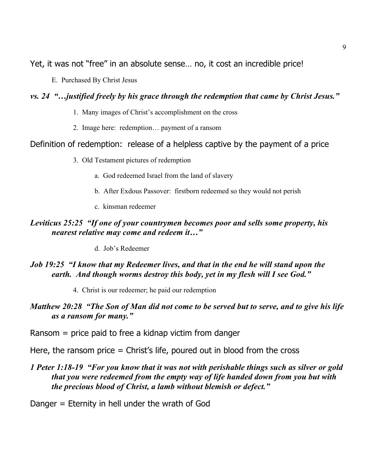Yet, it was not "free" in an absolute sense… no, it cost an incredible price!

E. Purchased By Christ Jesus

### *vs. 24 "…justified freely by his grace through the redemption that came by Christ Jesus."*

- 1. Many images of Christ's accomplishment on the cross
- 2. Image here: redemption… payment of a ransom

### Definition of redemption: release of a helpless captive by the payment of a price

3. Old Testament pictures of redemption

- a. God redeemed Israel from the land of slavery
- b. After Exdous Passover: firstborn redeemed so they would not perish
- c. kinsman redeemer

### *Leviticus 25:25 "If one of your countrymen becomes poor and sells some property, his nearest relative may come and redeem it…"*

d. Job's Redeemer

### *Job 19:25 "I know that my Redeemer lives, and that in the end he will stand upon the earth. And though worms destroy this body, yet in my flesh will I see God."*

4. Christ is our redeemer; he paid our redemption

### *Matthew 20:28 "The Son of Man did not come to be served but to serve, and to give his life as a ransom for many."*

Ransom = price paid to free a kidnap victim from danger

#### Here, the ransom price = Christ's life, poured out in blood from the cross

### *1 Peter 1:18-19 "For you know that it was not with perishable things such as silver or gold that you were redeemed from the empty way of life handed down from you but with the precious blood of Christ, a lamb without blemish or defect."*

#### Danger = Eternity in hell under the wrath of God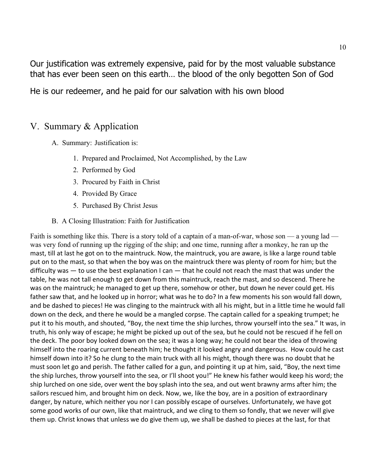Our justification was extremely expensive, paid for by the most valuable substance that has ever been seen on this earth… the blood of the only begotten Son of God

He is our redeemer, and he paid for our salvation with his own blood

## V. Summary & Application

- A. Summary: Justification is:
	- 1. Prepared and Proclaimed, Not Accomplished, by the Law
	- 2. Performed by God
	- 3. Procured by Faith in Christ
	- 4. Provided By Grace
	- 5. Purchased By Christ Jesus
- B. A Closing Illustration: Faith for Justification

Faith is something like this. There is a story told of a captain of a man-of-war, whose son — a young lad was very fond of running up the rigging of the ship; and one time, running after a monkey, he ran up the mast, till at last he got on to the maintruck. Now, the maintruck, you are aware, is like a large round table put on to the mast, so that when the boy was on the maintruck there was plenty of room for him; but the difficulty was  $-$  to use the best explanation I can  $-$  that he could not reach the mast that was under the table, he was not tall enough to get down from this maintruck, reach the mast, and so descend. There he was on the maintruck; he managed to get up there, somehow or other, but down he never could get. His father saw that, and he looked up in horror; what was he to do? In a few moments his son would fall down, and be dashed to pieces! He was clinging to the maintruck with all his might, but in a little time he would fall down on the deck, and there he would be a mangled corpse. The captain called for a speaking trumpet; he put it to his mouth, and shouted, "Boy, the next time the ship lurches, throw yourself into the sea." It was, in truth, his only way of escape; he might be picked up out of the sea, but he could not be rescued if he fell on the deck. The poor boy looked down on the sea; it was a long way; he could not bear the idea of throwing himself into the roaring current beneath him; he thought it looked angry and dangerous. How could he cast himself down into it? So he clung to the main truck with all his might, though there was no doubt that he must soon let go and perish. The father called for a gun, and pointing it up at him, said, "Boy, the next time the ship lurches, throw yourself into the sea, or I'll shoot you!" He knew his father would keep his word; the ship lurched on one side, over went the boy splash into the sea, and out went brawny arms after him; the sailors rescued him, and brought him on deck. Now, we, like the boy, are in a position of extraordinary danger, by nature, which neither you nor I can possibly escape of ourselves. Unfortunately, we have got some good works of our own, like that maintruck, and we cling to them so fondly, that we never will give them up. Christ knows that unless we do give them up, we shall be dashed to pieces at the last, for that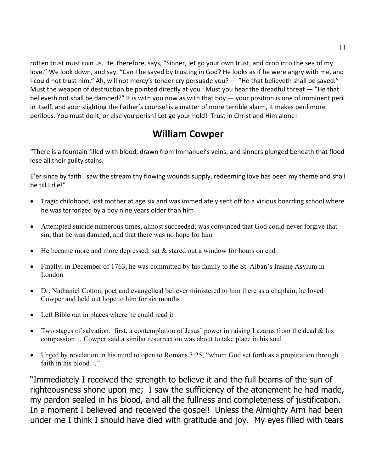rotten trust must ruin us. He, therefore, says, "Sinner, let go your own trust, and drop into the sea of my love." We look down, and say, "Can I be saved by trusting in God? He looks as if he were angry with me, and I could not trust him." Ah, will not mercy's tender cry persuade you? — "He that believeth shall be saved." Must the weapon of destruction be pointed directly at you? Must you hear the dreadful threat  $-$  "He that believeth not shall be damned?" It is with you now as with that boy  $-$  your position is one of imminent peril in itself, and your slighting the Father's counsel is a matter of more terrible alarm, it makes peril more perilous. You must do it, or else you perish! Let go your hold! Trust in Christ and Him alone!

# **William Cowper**

"There is a fountain filled with blood, drawn from Immanuel's veins; and sinners plunged beneath that flood lose all their guilty stains.

E'er since by faith I saw the stream thy flowing wounds supply, redeeming love has been my theme and shall be till I die!"

- Tragic childhood, lost mother at age six and was immediately sent off to a vicious boarding school where he was terrorized by a boy nine years older than him
- Attempted suicide numerous times, almost succeeded; was convinced that God could never forgive that sin, that he was damned, and that there was no hope for him
- He became more and more depressed; sat  $&$  stared out a window for hours on end
- Finally, in December of 1763, he was committed by his family to the St. Alban's Insane Asylum in London
- Dr. Nathaniel Cotton, poet and evangelical believer ministered to him there as a chaplain; he loved Cowper and held out hope to him for six months
- Left Bible out in places where he could read it
- Two stages of salvation: first, a contemplation of Jesus' power in raising Lazarus from the dead  $\&$  his compassion… Cowper said a similar resurrection was about to take place in his soul
- Urged by revelation in his mind to open to Romans 3:25, "whom God set forth as a propitiation through faith in his blood "

"Immediately I received the strength to believe it and the full beams of the sun of righteousness shone upon me; I saw the sufficiency of the atonement he had made, my pardon sealed in his blood, and all the fullness and completeness of justification. In a moment I believed and received the gospel! Unless the Almighty Arm had been under me I think I should have died with gratitude and joy. My eyes filled with tears